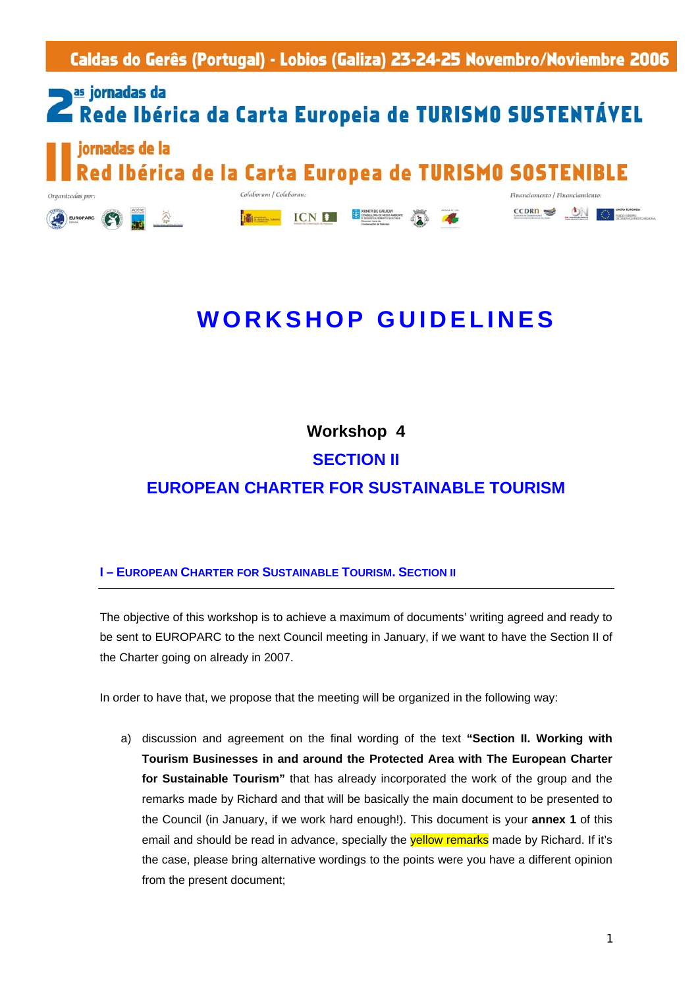**II Jornadas de la Red Ibérica de la Carta Europea de Turismo Sostenible**  - Lobios (Galiza) 23-24-7

## **Example 25 jornadas da** Rede Ibérica da Carta Europeia de TURISMO SUSTENTÁVEL iornadas de la

d Ibérica de la Carta Europea de TURISMO SOSTEN

ICN **B** 

Colaboram / Col.

**高mm** 

Organizadas vor

EUROPARC

## **WORKSHOP GUIDELINES**

 $CCDRD \leq$ 

ÓN

**Workshop 4** 

**SECTION II** 

**EUROPEAN CHARTER FOR SUSTAINABLE TOURISM** 

## **I – EUROPEAN CHARTER FOR SUSTAINABLE TOURISM. SECTION II**

The objective of this workshop is to achieve a maximum of documents' writing agreed and ready to be sent to EUROPARC to the next Council meeting in January, if we want to have the Section II of the Charter going on already in 2007.

In order to have that, we propose that the meeting will be organized in the following way:

a) discussion and agreement on the final wording of the text **"Section II. Working with Tourism Businesses in and around the Protected Area with The European Charter for Sustainable Tourism"** that has already incorporated the work of the group and the remarks made by Richard and that will be basically the main document to be presented to the Council (in January, if we work hard enough!). This document is your **annex 1** of this email and should be read in advance, specially the **yellow remarks** made by Richard. If it's the case, please bring alternative wordings to the points were you have a different opinion from the present document;